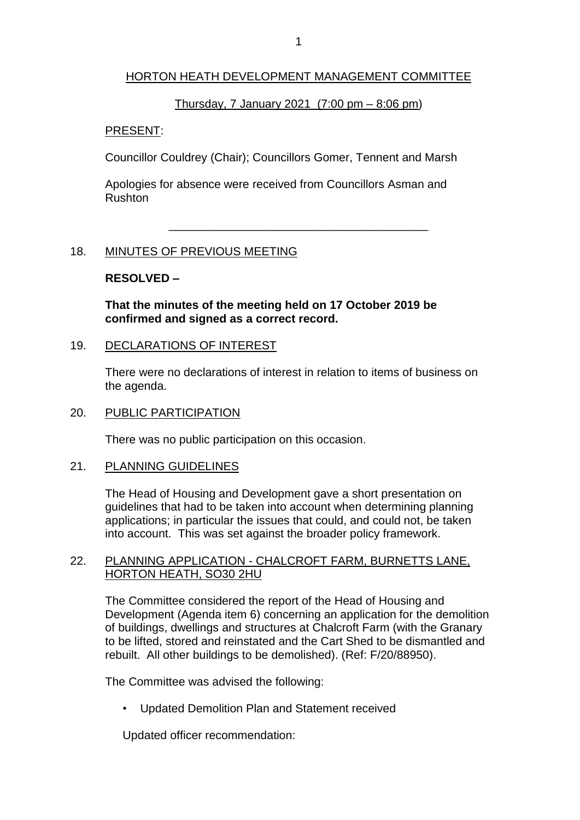## HORTON HEATH DEVELOPMENT MANAGEMENT COMMITTEE

## Thursday, 7 January 2021 (7:00 pm – 8:06 pm)

\_\_\_\_\_\_\_\_\_\_\_\_\_\_\_\_\_\_\_\_\_\_\_\_\_\_\_\_\_\_\_\_\_\_\_\_\_\_\_\_

#### PRESENT:

Councillor Couldrey (Chair); Councillors Gomer, Tennent and Marsh

Apologies for absence were received from Councillors Asman and Rushton

## 18. MINUTES OF PREVIOUS MEETING

## **RESOLVED –**

**That the minutes of the meeting held on 17 October 2019 be confirmed and signed as a correct record.** 

#### 19. DECLARATIONS OF INTEREST

There were no declarations of interest in relation to items of business on the agenda.

#### 20. PUBLIC PARTICIPATION

There was no public participation on this occasion.

#### 21. PLANNING GUIDELINES

The Head of Housing and Development gave a short presentation on guidelines that had to be taken into account when determining planning applications; in particular the issues that could, and could not, be taken into account. This was set against the broader policy framework.

#### 22. PLANNING APPLICATION - CHALCROFT FARM, BURNETTS LANE, HORTON HEATH, SO30 2HU

The Committee considered the report of the Head of Housing and Development (Agenda item 6) concerning an application for the demolition of buildings, dwellings and structures at Chalcroft Farm (with the Granary to be lifted, stored and reinstated and the Cart Shed to be dismantled and rebuilt. All other buildings to be demolished). (Ref: F/20/88950).

The Committee was advised the following:

• Updated Demolition Plan and Statement received

Updated officer recommendation: